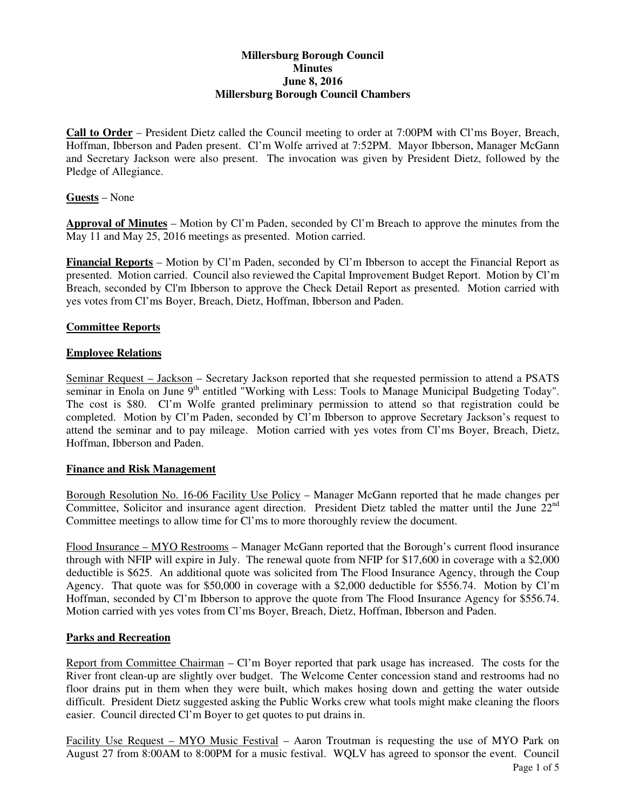# **Millersburg Borough Council Minutes June 8, 2016 Millersburg Borough Council Chambers**

**Call to Order** – President Dietz called the Council meeting to order at 7:00PM with Cl'ms Boyer, Breach, Hoffman, Ibberson and Paden present. Cl'm Wolfe arrived at 7:52PM. Mayor Ibberson, Manager McGann and Secretary Jackson were also present. The invocation was given by President Dietz, followed by the Pledge of Allegiance.

**Guests** – None

**Approval of Minutes** – Motion by Cl'm Paden, seconded by Cl'm Breach to approve the minutes from the May 11 and May 25, 2016 meetings as presented. Motion carried.

**Financial Reports** – Motion by Cl'm Paden, seconded by Cl'm Ibberson to accept the Financial Report as presented. Motion carried. Council also reviewed the Capital Improvement Budget Report. Motion by Cl'm Breach, seconded by Cl'm Ibberson to approve the Check Detail Report as presented. Motion carried with yes votes from Cl'ms Boyer, Breach, Dietz, Hoffman, Ibberson and Paden.

### **Committee Reports**

#### **Employee Relations**

Seminar Request – Jackson – Secretary Jackson reported that she requested permission to attend a PSATS seminar in Enola on June 9<sup>th</sup> entitled "Working with Less: Tools to Manage Municipal Budgeting Today". The cost is \$80. Cl'm Wolfe granted preliminary permission to attend so that registration could be completed. Motion by Cl'm Paden, seconded by Cl'm Ibberson to approve Secretary Jackson's request to attend the seminar and to pay mileage. Motion carried with yes votes from Cl'ms Boyer, Breach, Dietz, Hoffman, Ibberson and Paden.

### **Finance and Risk Management**

Borough Resolution No. 16-06 Facility Use Policy – Manager McGann reported that he made changes per Committee, Solicitor and insurance agent direction. President Dietz tabled the matter until the June 22<sup>nd</sup> Committee meetings to allow time for Cl'ms to more thoroughly review the document.

Flood Insurance – MYO Restrooms – Manager McGann reported that the Borough's current flood insurance through with NFIP will expire in July. The renewal quote from NFIP for \$17,600 in coverage with a \$2,000 deductible is \$625. An additional quote was solicited from The Flood Insurance Agency, through the Coup Agency. That quote was for \$50,000 in coverage with a \$2,000 deductible for \$556.74. Motion by Cl'm Hoffman, seconded by Cl'm Ibberson to approve the quote from The Flood Insurance Agency for \$556.74. Motion carried with yes votes from Cl'ms Boyer, Breach, Dietz, Hoffman, Ibberson and Paden.

### **Parks and Recreation**

Report from Committee Chairman – Cl'm Boyer reported that park usage has increased. The costs for the River front clean-up are slightly over budget. The Welcome Center concession stand and restrooms had no floor drains put in them when they were built, which makes hosing down and getting the water outside difficult. President Dietz suggested asking the Public Works crew what tools might make cleaning the floors easier. Council directed Cl'm Boyer to get quotes to put drains in.

Page 1 of 5 Facility Use Request – MYO Music Festival – Aaron Troutman is requesting the use of MYO Park on August 27 from 8:00AM to 8:00PM for a music festival. WQLV has agreed to sponsor the event. Council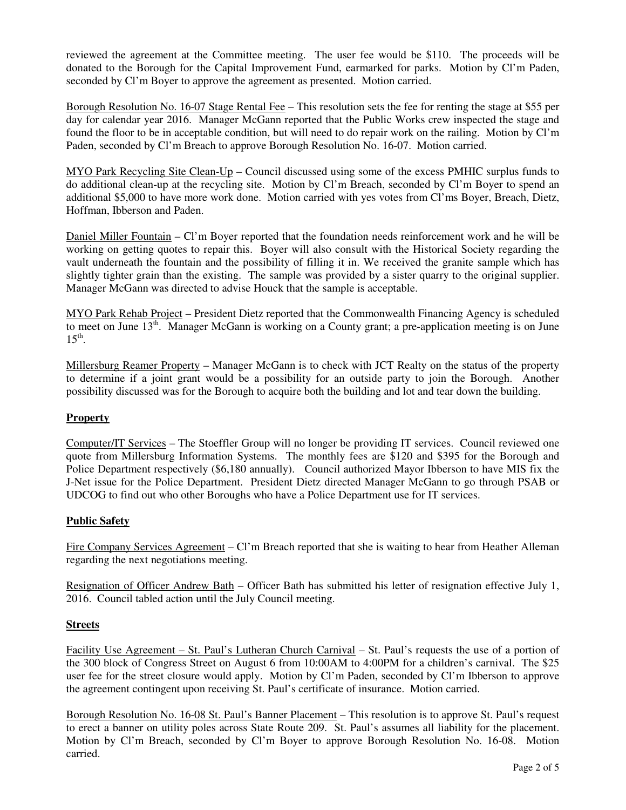reviewed the agreement at the Committee meeting. The user fee would be \$110. The proceeds will be donated to the Borough for the Capital Improvement Fund, earmarked for parks. Motion by Cl'm Paden, seconded by Cl'm Boyer to approve the agreement as presented. Motion carried.

Borough Resolution No. 16-07 Stage Rental Fee – This resolution sets the fee for renting the stage at \$55 per day for calendar year 2016. Manager McGann reported that the Public Works crew inspected the stage and found the floor to be in acceptable condition, but will need to do repair work on the railing. Motion by Cl'm Paden, seconded by Cl'm Breach to approve Borough Resolution No. 16-07. Motion carried.

MYO Park Recycling Site Clean-Up – Council discussed using some of the excess PMHIC surplus funds to do additional clean-up at the recycling site. Motion by Cl'm Breach, seconded by Cl'm Boyer to spend an additional \$5,000 to have more work done. Motion carried with yes votes from Cl'ms Boyer, Breach, Dietz, Hoffman, Ibberson and Paden.

Daniel Miller Fountain – Cl'm Boyer reported that the foundation needs reinforcement work and he will be working on getting quotes to repair this. Boyer will also consult with the Historical Society regarding the vault underneath the fountain and the possibility of filling it in. We received the granite sample which has slightly tighter grain than the existing. The sample was provided by a sister quarry to the original supplier. Manager McGann was directed to advise Houck that the sample is acceptable.

MYO Park Rehab Project – President Dietz reported that the Commonwealth Financing Agency is scheduled to meet on June 13<sup>th</sup>. Manager McGann is working on a County grant; a pre-application meeting is on June  $15^{\text{th}}$ .

Millersburg Reamer Property – Manager McGann is to check with JCT Realty on the status of the property to determine if a joint grant would be a possibility for an outside party to join the Borough. Another possibility discussed was for the Borough to acquire both the building and lot and tear down the building.

### **Property**

Computer/IT Services – The Stoeffler Group will no longer be providing IT services. Council reviewed one quote from Millersburg Information Systems. The monthly fees are \$120 and \$395 for the Borough and Police Department respectively (\$6,180 annually). Council authorized Mayor Ibberson to have MIS fix the J-Net issue for the Police Department. President Dietz directed Manager McGann to go through PSAB or UDCOG to find out who other Boroughs who have a Police Department use for IT services.

### **Public Safety**

Fire Company Services Agreement – Cl'm Breach reported that she is waiting to hear from Heather Alleman regarding the next negotiations meeting.

Resignation of Officer Andrew Bath – Officer Bath has submitted his letter of resignation effective July 1, 2016. Council tabled action until the July Council meeting.

### **Streets**

Facility Use Agreement – St. Paul's Lutheran Church Carnival – St. Paul's requests the use of a portion of the 300 block of Congress Street on August 6 from 10:00AM to 4:00PM for a children's carnival. The \$25 user fee for the street closure would apply. Motion by Cl'm Paden, seconded by Cl'm Ibberson to approve the agreement contingent upon receiving St. Paul's certificate of insurance. Motion carried.

Borough Resolution No. 16-08 St. Paul's Banner Placement – This resolution is to approve St. Paul's request to erect a banner on utility poles across State Route 209. St. Paul's assumes all liability for the placement. Motion by Cl'm Breach, seconded by Cl'm Boyer to approve Borough Resolution No. 16-08. Motion carried.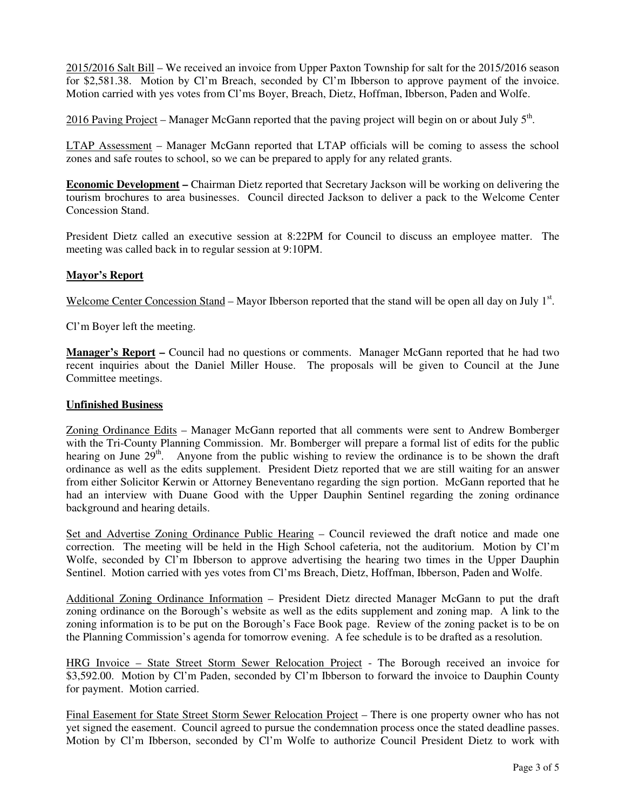2015/2016 Salt Bill – We received an invoice from Upper Paxton Township for salt for the 2015/2016 season for \$2,581.38. Motion by Cl'm Breach, seconded by Cl'm Ibberson to approve payment of the invoice. Motion carried with yes votes from Cl'ms Boyer, Breach, Dietz, Hoffman, Ibberson, Paden and Wolfe.

2016 Paving Project – Manager McGann reported that the paving project will begin on or about July  $5<sup>th</sup>$ .

LTAP Assessment – Manager McGann reported that LTAP officials will be coming to assess the school zones and safe routes to school, so we can be prepared to apply for any related grants.

**Economic Development –** Chairman Dietz reported that Secretary Jackson will be working on delivering the tourism brochures to area businesses. Council directed Jackson to deliver a pack to the Welcome Center Concession Stand.

President Dietz called an executive session at 8:22PM for Council to discuss an employee matter. The meeting was called back in to regular session at 9:10PM.

# **Mayor's Report**

Welcome Center Concession Stand – Mayor Ibberson reported that the stand will be open all day on July 1<sup>st</sup>.

Cl'm Boyer left the meeting.

**Manager's Report –** Council had no questions or comments. Manager McGann reported that he had two recent inquiries about the Daniel Miller House. The proposals will be given to Council at the June Committee meetings.

# **Unfinished Business**

Zoning Ordinance Edits – Manager McGann reported that all comments were sent to Andrew Bomberger with the Tri-County Planning Commission. Mr. Bomberger will prepare a formal list of edits for the public hearing on June 29<sup>th</sup>. Anyone from the public wishing to review the ordinance is to be shown the draft ordinance as well as the edits supplement. President Dietz reported that we are still waiting for an answer from either Solicitor Kerwin or Attorney Beneventano regarding the sign portion. McGann reported that he had an interview with Duane Good with the Upper Dauphin Sentinel regarding the zoning ordinance background and hearing details.

Set and Advertise Zoning Ordinance Public Hearing – Council reviewed the draft notice and made one correction. The meeting will be held in the High School cafeteria, not the auditorium. Motion by Cl'm Wolfe, seconded by Cl'm Ibberson to approve advertising the hearing two times in the Upper Dauphin Sentinel. Motion carried with yes votes from Cl'ms Breach, Dietz, Hoffman, Ibberson, Paden and Wolfe.

Additional Zoning Ordinance Information – President Dietz directed Manager McGann to put the draft zoning ordinance on the Borough's website as well as the edits supplement and zoning map. A link to the zoning information is to be put on the Borough's Face Book page. Review of the zoning packet is to be on the Planning Commission's agenda for tomorrow evening. A fee schedule is to be drafted as a resolution.

HRG Invoice – State Street Storm Sewer Relocation Project - The Borough received an invoice for \$3,592.00. Motion by Cl'm Paden, seconded by Cl'm Ibberson to forward the invoice to Dauphin County for payment. Motion carried.

Final Easement for State Street Storm Sewer Relocation Project – There is one property owner who has not yet signed the easement. Council agreed to pursue the condemnation process once the stated deadline passes. Motion by Cl'm Ibberson, seconded by Cl'm Wolfe to authorize Council President Dietz to work with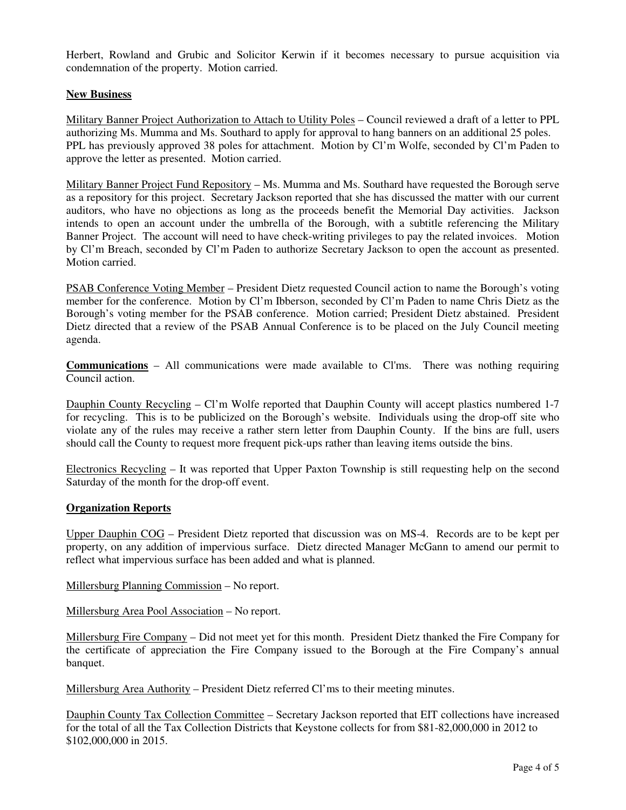Herbert, Rowland and Grubic and Solicitor Kerwin if it becomes necessary to pursue acquisition via condemnation of the property. Motion carried.

### **New Business**

Military Banner Project Authorization to Attach to Utility Poles – Council reviewed a draft of a letter to PPL authorizing Ms. Mumma and Ms. Southard to apply for approval to hang banners on an additional 25 poles. PPL has previously approved 38 poles for attachment. Motion by Cl'm Wolfe, seconded by Cl'm Paden to approve the letter as presented. Motion carried.

Military Banner Project Fund Repository – Ms. Mumma and Ms. Southard have requested the Borough serve as a repository for this project. Secretary Jackson reported that she has discussed the matter with our current auditors, who have no objections as long as the proceeds benefit the Memorial Day activities. Jackson intends to open an account under the umbrella of the Borough, with a subtitle referencing the Military Banner Project. The account will need to have check-writing privileges to pay the related invoices. Motion by Cl'm Breach, seconded by Cl'm Paden to authorize Secretary Jackson to open the account as presented. Motion carried.

PSAB Conference Voting Member – President Dietz requested Council action to name the Borough's voting member for the conference. Motion by Cl'm Ibberson, seconded by Cl'm Paden to name Chris Dietz as the Borough's voting member for the PSAB conference. Motion carried; President Dietz abstained. President Dietz directed that a review of the PSAB Annual Conference is to be placed on the July Council meeting agenda.

**Communications** – All communications were made available to Cl'ms. There was nothing requiring Council action.

Dauphin County Recycling – Cl'm Wolfe reported that Dauphin County will accept plastics numbered 1-7 for recycling. This is to be publicized on the Borough's website. Individuals using the drop-off site who violate any of the rules may receive a rather stern letter from Dauphin County. If the bins are full, users should call the County to request more frequent pick-ups rather than leaving items outside the bins.

Electronics Recycling – It was reported that Upper Paxton Township is still requesting help on the second Saturday of the month for the drop-off event.

### **Organization Reports**

Upper Dauphin COG – President Dietz reported that discussion was on MS-4. Records are to be kept per property, on any addition of impervious surface. Dietz directed Manager McGann to amend our permit to reflect what impervious surface has been added and what is planned.

Millersburg Planning Commission – No report.

Millersburg Area Pool Association – No report.

Millersburg Fire Company – Did not meet yet for this month. President Dietz thanked the Fire Company for the certificate of appreciation the Fire Company issued to the Borough at the Fire Company's annual banquet.

Millersburg Area Authority – President Dietz referred Cl'ms to their meeting minutes.

Dauphin County Tax Collection Committee – Secretary Jackson reported that EIT collections have increased for the total of all the Tax Collection Districts that Keystone collects for from \$81-82,000,000 in 2012 to \$102,000,000 in 2015.